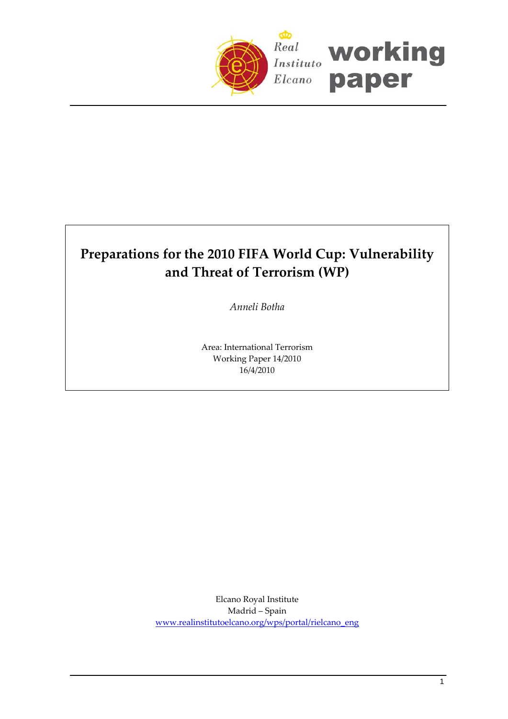

# **Preparations for the 2010 FIFA World Cup: Vulnerability and Threat of Terrorism (WP)**

*Anneli Botha*

Area: International Terrorism Working Paper 14/2010 16/4/2010

Elcano Royal Institute Madrid – Spain [www.realinstitutoelcano.org/wps/portal/rielcano\\_eng](http://www.realinstitutoelcano.org/wps/portal/rielcano_eng)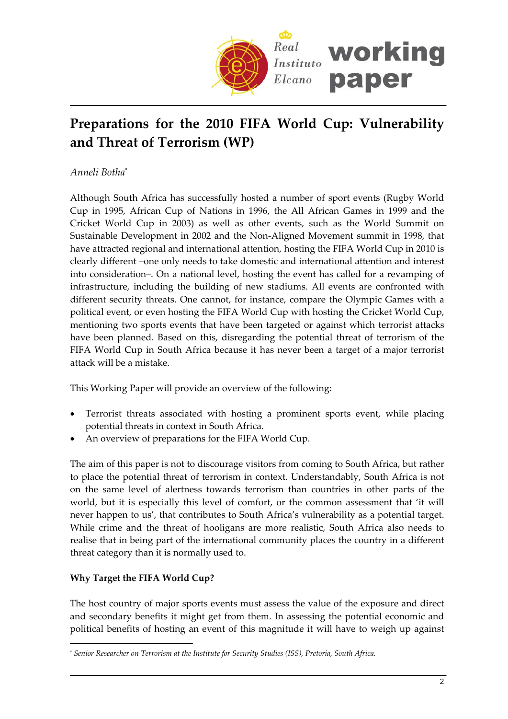

## **Preparations for the 2010 FIFA World Cup: Vulnerability and Threat of Terrorism (WP)**

*Anneli Botha*[\\*](#page-1-0)

Although South Africa has successfully hosted a number of sport events (Rugby World Cup in 1995, African Cup of Nations in 1996, the All African Games in 1999 and the Cricket World Cup in 2003) as well as other events, such as the World Summit on Sustainable Development in 2002 and the Non‐Aligned Movement summit in 1998, that have attracted regional and international attention, hosting the FIFA World Cup in 2010 is clearly different –one only needs to take domestic and international attention and interest into consideration–. On a national level, hosting the event has called for a revamping of infrastructure, including the building of new stadiums. All events are confronted with different security threats. One cannot, for instance, compare the Olympic Games with a political event, or even hosting the FIFA World Cup with hosting the Cricket World Cup, mentioning two sports events that have been targeted or against which terrorist attacks have been planned. Based on this, disregarding the potential threat of terrorism of the FIFA World Cup in South Africa because it has never been a target of a major terrorist attack will be a mistake.

This Working Paper will provide an overview of the following:

- Terrorist threats associated with hosting a prominent sports event, while placing potential threats in context in South Africa.
- An overview of preparations for the FIFA World Cup.

The aim of this paper is not to discourage visitors from coming to South Africa, but rather to place the potential threat of terrorism in context. Understandably, South Africa is not on the same level of alertness towards terrorism than countries in other parts of the world, but it is especially this level of comfort, or the common assessment that 'it will never happen to us', that contributes to South Africa's vulnerability as a potential target. While crime and the threat of hooligans are more realistic, South Africa also needs to realise that in being part of the international community places the country in a different threat category than it is normally used to.

## **Why Target the FIFA World Cup?**

 $\overline{a}$ 

The host country of major sports events must assess the value of the exposure and direct and secondary benefits it might get from them. In assessing the potential economic and political benefits of hosting an event of this magnitude it will have to weigh up against

<span id="page-1-0"></span>*<sup>\*</sup> Senior Researcher on Terrorism at the Institute for Security Studies (ISS), Pretoria, South Africa.*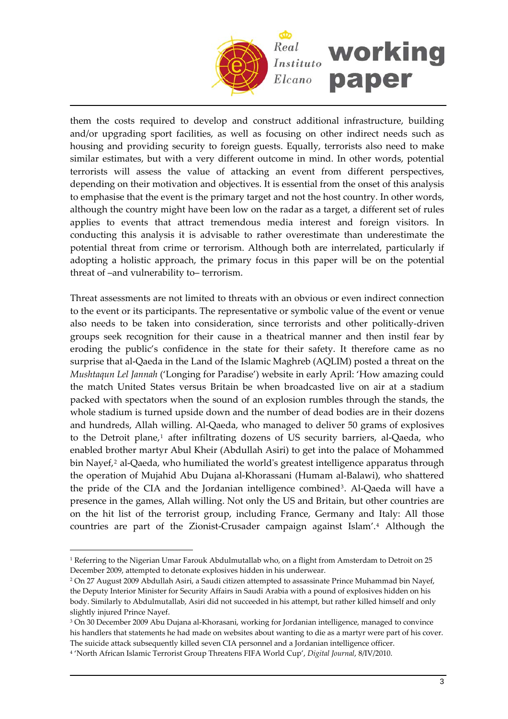

them the costs required to develop and construct additional infrastructure, building and/or upgrading sport facilities, as well as focusing on other indirect needs such as housing and providing security to foreign guests. Equally, terrorists also need to make similar estimates, but with a very different outcome in mind. In other words, potential terrorists will assess the value of attacking an event from different perspectives, depending on their motivation and objectives. It is essential from the onset of this analysis to emphasise that the event is the primary target and not the host country. In other words, although the country might have been low on the radar as a target, a different set of rules applies to events that attract tremendous media interest and foreign visitors. In conducting this analysis it is advisable to rather overestimate than underestimate the potential threat from crime or terrorism. Although both are interrelated, particularly if adopting a holistic approach, the primary focus in this paper will be on the potential threat of –and vulnerability to– terrorism.

Threat assessments are not limited to threats with an obvious or even indirect connection to the event or its participants. The representative or symbolic value of the event or venue also needs to be taken into consideration, since terrorists and other politically‐driven groups seek recognition for their cause in a theatrical manner and then instil fear by eroding the public's confidence in the state for their safety. It therefore came as no surprise that al‐Qaeda in the Land of the Islamic Maghreb (AQLIM) posted a threat on the *Mushtaqun Lel Jannah* ('Longing for Paradise') website in early April: 'How amazing could the match United States versus Britain be when broadcasted live on air at a stadium packed with spectators when the sound of an explosion rumbles through the stands, the whole stadium is turned upside down and the number of dead bodies are in their dozens and hundreds, Allah willing. Al‐Qaeda, who managed to deliver 50 grams of explosives to the Detroit plane,<sup>[1](#page-2-0)</sup> after infiltrating dozens of US security barriers, al-Qaeda, who enabled brother martyr Abul Kheir (Abdullah Asiri) to get into the palace of Mohammed bin Nayef,<sup>[2](#page-2-1)</sup> al-Qaeda, who humiliated the world's greatest intelligence apparatus through the operation of Mujahid Abu Dujana al‐Khorassani (Humam al‐Balawi), who shattered the pride of the CIA and the Jordanian intelligence combined<sup>[3](#page-2-2)</sup>. Al-Qaeda will have a presence in the games, Allah willing. Not only the US and Britain, but other countries are on the hit list of the terrorist group, including France, Germany and Italy: All those countries are part of the Zionist‐Crusader campaign against Islam'.[4](#page-2-3) Although the

<span id="page-2-0"></span><sup>1</sup> Referring to the Nigerian Umar Farouk Abdulmutallab who, on a flight from Amsterdam to Detroit on 25 December 2009, attempted to detonate explosives hidden in his underwear.

<span id="page-2-1"></span><sup>2</sup> On 27 August 2009 Abdullah Asiri, a Saudi citizen attempted to assassinate Prince Muhammad bin Nayef, the Deputy Interior Minister for Security Affairs in Saudi Arabia with a pound of explosives hidden on his body. Similarly to Abdulmutallab, Asiri did not succeeded in his attempt, but rather killed himself and only slightly injured Prince Nayef.

<span id="page-2-2"></span><sup>3</sup> On 30 December 2009 Abu Dujana al‐Khorasani, working for Jordanian intelligence, managed to convince his handlers that statements he had made on websites about wanting to die as a martyr were part of his cover. The suicide attack subsequently killed seven CIA personnel and a Jordanian intelligence officer.

<span id="page-2-3"></span><sup>4</sup> 'North African Islamic Terrorist Group Threatens FIFA World Cup', *Digital Journal*, 8/IV/2010.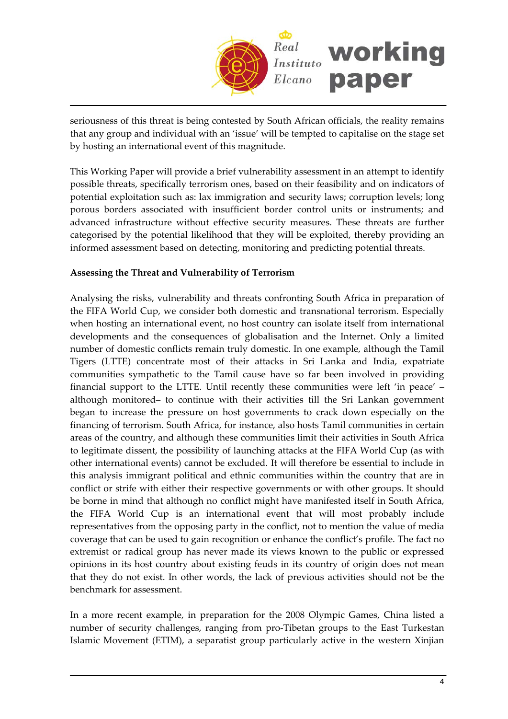

seriousness of this threat is being contested by South African officials, the reality remains that any group and individual with an 'issue' will be tempted to capitalise on the stage set by hosting an international event of this magnitude.

This Working Paper will provide a brief vulnerability assessment in an attempt to identify possible threats, specifically terrorism ones, based on their feasibility and on indicators of potential exploitation such as: lax immigration and security laws; corruption levels; long porous borders associated with insufficient border control units or instruments; and advanced infrastructure without effective security measures. These threats are further categorised by the potential likelihood that they will be exploited, thereby providing an informed assessment based on detecting, monitoring and predicting potential threats.

## **Assessing the Threat and Vulnerability of Terrorism**

Analysing the risks, vulnerability and threats confronting South Africa in preparation of the FIFA World Cup, we consider both domestic and transnational terrorism. Especially when hosting an international event, no host country can isolate itself from international developments and the consequences of globalisation and the Internet. Only a limited number of domestic conflicts remain truly domestic. In one example, although the Tamil Tigers (LTTE) concentrate most of their attacks in Sri Lanka and India, expatriate communities sympathetic to the Tamil cause have so far been involved in providing financial support to the LTTE. Until recently these communities were left 'in peace' – although monitored– to continue with their activities till the Sri Lankan government began to increase the pressure on host governments to crack down especially on the financing of terrorism. South Africa, for instance, also hosts Tamil communities in certain areas of the country, and although these communities limit their activities in South Africa to legitimate dissent, the possibility of launching attacks at the FIFA World Cup (as with other international events) cannot be excluded. It will therefore be essential to include in this analysis immigrant political and ethnic communities within the country that are in conflict or strife with either their respective governments or with other groups. It should be borne in mind that although no conflict might have manifested itself in South Africa, the FIFA World Cup is an international event that will most probably include representatives from the opposing party in the conflict, not to mention the value of media coverage that can be used to gain recognition or enhance the conflict's profile. The fact no extremist or radical group has never made its views known to the public or expressed opinions in its host country about existing feuds in its country of origin does not mean that they do not exist. In other words, the lack of previous activities should not be the benchmark for assessment.

In a more recent example, in preparation for the 2008 Olympic Games, China listed a number of security challenges, ranging from pro‐Tibetan groups to the East Turkestan Islamic Movement (ETIM), a separatist group particularly active in the western Xinjian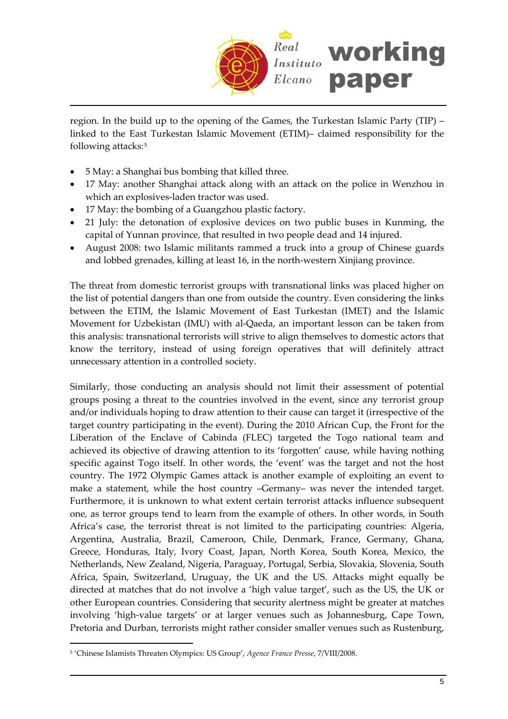

region. In the build up to the opening of the Games, the Turkestan Islamic Party (TIP) – linked to the East Turkestan Islamic Movement (ETIM)– claimed responsibility for the following attacks:[5](#page-4-0)

- 5 May: a Shanghai bus bombing that killed three.
- 17 May: another Shanghai attack along with an attack on the police in Wenzhou in which an explosives‐laden tractor was used.
- 17 May: the bombing of a Guangzhou plastic factory.
- 21 July: the detonation of explosive devices on two public buses in Kunming, the capital of Yunnan province, that resulted in two people dead and 14 injured.
- August 2008: two Islamic militants rammed a truck into a group of Chinese guards and lobbed grenades, killing at least 16, in the north‐western Xinjiang province.

The threat from domestic terrorist groups with transnational links was placed higher on the list of potential dangers than one from outside the country. Even considering the links between the ETIM, the Islamic Movement of East Turkestan (IMET) and the Islamic Movement for Uzbekistan (IMU) with al‐Qaeda, an important lesson can be taken from this analysis: transnational terrorists will strive to align themselves to domestic actors that know the territory, instead of using foreign operatives that will definitely attract unnecessary attention in a controlled society.

Similarly, those conducting an analysis should not limit their assessment of potential groups posing a threat to the countries involved in the event, since any terrorist group and/or individuals hoping to draw attention to their cause can target it (irrespective of the target country participating in the event). During the 2010 African Cup, the Front for the Liberation of the Enclave of Cabinda (FLEC) targeted the Togo national team and achieved its objective of drawing attention to its 'forgotten' cause, while having nothing specific against Togo itself. In other words, the 'event' was the target and not the host country. The 1972 Olympic Games attack is another example of exploiting an event to make a statement, while the host country –Germany– was never the intended target. Furthermore, it is unknown to what extent certain terrorist attacks influence subsequent one, as terror groups tend to learn from the example of others. In other words, in South Africa's case, the terrorist threat is not limited to the participating countries: Algeria, Argentina, Australia, Brazil, Cameroon, Chile, Denmark, France, Germany, Ghana, Greece, Honduras, Italy, Ivory Coast, Japan, North Korea, South Korea, Mexico, the Netherlands, New Zealand, Nigeria, Paraguay, Portugal, Serbia, Slovakia, Slovenia, South Africa, Spain, Switzerland, Uruguay, the UK and the US. Attacks might equally be directed at matches that do not involve a 'high value target', such as the US, the UK or other European countries. Considering that security alertness might be greater at matches involving 'high‐value targets' or at larger venues such as Johannesburg, Cape Town, Pretoria and Durban, terrorists might rather consider smaller venues such as Rustenburg,

<span id="page-4-0"></span><sup>5</sup> 'Chinese Islamists Threaten Olympics: US Group', *Agence France Presse*, 7/VIII/2008.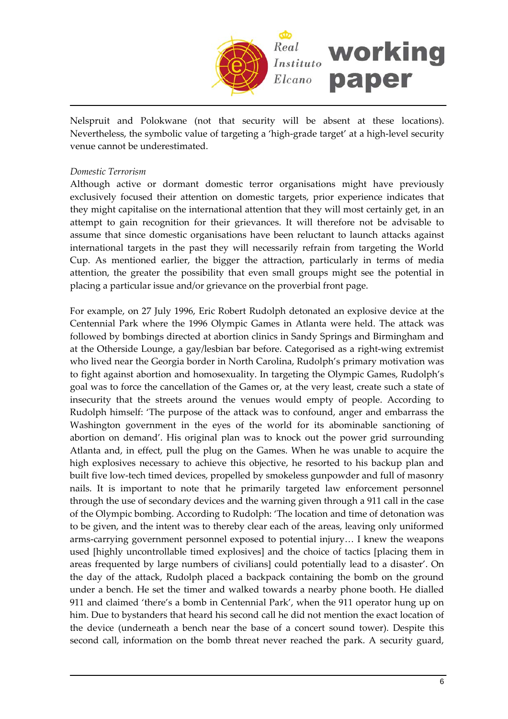

Nelspruit and Polokwane (not that security will be absent at these locations). Nevertheless, the symbolic value of targeting a 'high‐grade target' at a high‐level security venue cannot be underestimated.

#### *Domestic Terrorism*

Although active or dormant domestic terror organisations might have previously exclusively focused their attention on domestic targets, prior experience indicates that they might capitalise on the international attention that they will most certainly get, in an attempt to gain recognition for their grievances. It will therefore not be advisable to assume that since domestic organisations have been reluctant to launch attacks against international targets in the past they will necessarily refrain from targeting the World Cup. As mentioned earlier, the bigger the attraction, particularly in terms of media attention, the greater the possibility that even small groups might see the potential in placing a particular issue and/or grievance on the proverbial front page.

For example, on 27 July 1996, Eric Robert Rudolph detonated an explosive device at the Centennial Park where the 1996 Olympic Games in Atlanta were held. The attack was followed by bombings directed at abortion clinics in Sandy Springs and Birmingham and at the Otherside Lounge, a gay/lesbian bar before. Categorised as a right‐wing extremist who lived near the Georgia border in North Carolina, Rudolph's primary motivation was to fight against abortion and homosexuality. In targeting the Olympic Games, Rudolph's goal was to force the cancellation of the Games or, at the very least, create such a state of insecurity that the streets around the venues would empty of people. According to Rudolph himself: 'The purpose of the attack was to confound, anger and embarrass the Washington government in the eyes of the world for its abominable sanctioning of abortion on demand'. His original plan was to knock out the power grid surrounding Atlanta and, in effect, pull the plug on the Games. When he was unable to acquire the high explosives necessary to achieve this objective, he resorted to his backup plan and built five low‐tech timed devices, propelled by smokeless gunpowder and full of masonry nails. It is important to note that he primarily targeted law enforcement personnel through the use of secondary devices and the warning given through a 911 call in the case of the Olympic bombing. According to Rudolph: 'The location and time of detonation was to be given, and the intent was to thereby clear each of the areas, leaving only uniformed arms‐carrying government personnel exposed to potential injury… I knew the weapons used [highly uncontrollable timed explosives] and the choice of tactics [placing them in areas frequented by large numbers of civilians] could potentially lead to a disaster'. On the day of the attack, Rudolph placed a backpack containing the bomb on the ground under a bench. He set the timer and walked towards a nearby phone booth. He dialled 911 and claimed 'there's a bomb in Centennial Park', when the 911 operator hung up on him. Due to bystanders that heard his second call he did not mention the exact location of the device (underneath a bench near the base of a concert sound tower). Despite this second call, information on the bomb threat never reached the park. A security guard,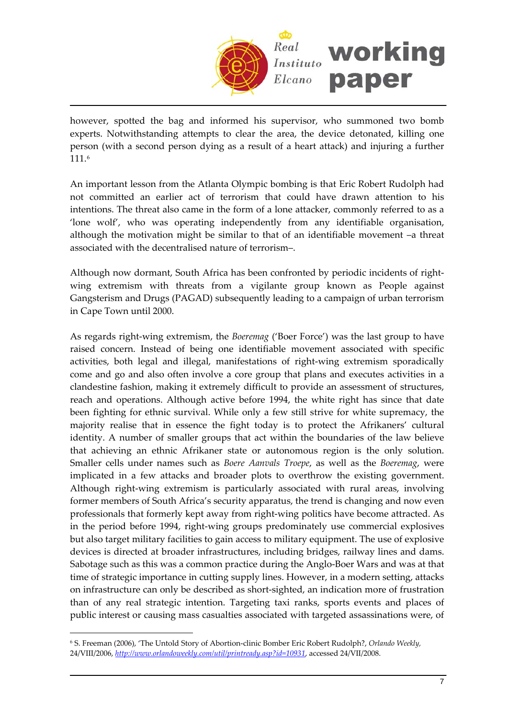

however, spotted the bag and informed his supervisor, who summoned two bomb experts. Notwithstanding attempts to clear the area, the device detonated, killing one person (with a second person dying as a result of a heart attack) and injuring a further 111.[6](#page-6-0)

An important lesson from the Atlanta Olympic bombing is that Eric Robert Rudolph had not committed an earlier act of terrorism that could have drawn attention to his intentions. The threat also came in the form of a lone attacker, commonly referred to as a 'lone wolf', who was operating independently from any identifiable organisation, although the motivation might be similar to that of an identifiable movement –a threat associated with the decentralised nature of terrorism–.

Although now dormant, South Africa has been confronted by periodic incidents of right‐ wing extremism with threats from a vigilante group known as People against Gangsterism and Drugs (PAGAD) subsequently leading to a campaign of urban terrorism in Cape Town until 2000.

As regards right‐wing extremism, the *Boeremag* ('Boer Force') was the last group to have raised concern. Instead of being one identifiable movement associated with specific activities, both legal and illegal, manifestations of right‐wing extremism sporadically come and go and also often involve a core group that plans and executes activities in a clandestine fashion, making it extremely difficult to provide an assessment of structures, reach and operations. Although active before 1994, the white right has since that date been fighting for ethnic survival. While only a few still strive for white supremacy, the majority realise that in essence the fight today is to protect the Afrikaners' cultural identity. A number of smaller groups that act within the boundaries of the law believe that achieving an ethnic Afrikaner state or autonomous region is the only solution. Smaller cells under names such as *Boere Aanvals Troepe*, as well as the *Boeremag*, were implicated in a few attacks and broader plots to overthrow the existing government. Although right‐wing extremism is particularly associated with rural areas, involving former members of South Africa's security apparatus, the trend is changing and now even professionals that formerly kept away from right‐wing politics have become attracted. As in the period before 1994, right‐wing groups predominately use commercial explosives but also target military facilities to gain access to military equipment. The use of explosive devices is directed at broader infrastructures, including bridges, railway lines and dams. Sabotage such as this was a common practice during the Anglo‐Boer Wars and was at that time of strategic importance in cutting supply lines. However, in a modern setting, attacks on infrastructure can only be described as short‐sighted, an indication more of frustration than of any real strategic intention. Targeting taxi ranks, sports events and places of public interest or causing mass casualties associated with targeted assassinations were, of

<span id="page-6-0"></span><sup>6</sup> S. Freeman (2006), 'The Untold Story of Abortion‐clinic Bomber Eric Robert Rudolph?, *Orlando Weekly,* 24/VIII/2006, *<http://www.orlandoweekly.com/util/printready.asp?id=10931>*, accessed 24/VII/2008.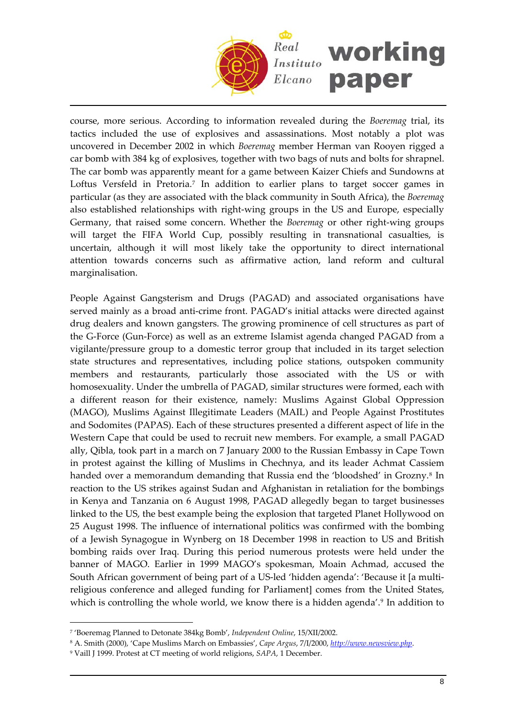

course, more serious. According to information revealed during the *Boeremag* trial, its tactics included the use of explosives and assassinations. Most notably a plot was uncovered in December 2002 in which *Boeremag* member Herman van Rooyen rigged a car bomb with 384 kg of explosives, together with two bags of nuts and bolts for shrapnel. The car bomb was apparently meant for a game between Kaizer Chiefs and Sundowns at Loftus Versfeld in Pretoria.<sup>7</sup> In addition to earlier plans to target soccer games in particular (as they are associated with the black community in South Africa), the *Boeremag* also established relationships with right‐wing groups in the US and Europe, especially Germany, that raised some concern. Whether the *Boeremag* or other right‐wing groups will target the FIFA World Cup, possibly resulting in transnational casualties, is uncertain, although it will most likely take the opportunity to direct international attention towards concerns such as affirmative action, land reform and cultural marginalisation.

People Against Gangsterism and Drugs (PAGAD) and associated organisations have served mainly as a broad anti-crime front. PAGAD's initial attacks were directed against drug dealers and known gangsters. The growing prominence of cell structures as part of the G‐Force (Gun‐Force) as well as an extreme Islamist agenda changed PAGAD from a vigilante/pressure group to a domestic terror group that included in its target selection state structures and representatives, including police stations, outspoken community members and restaurants, particularly those associated with the US or with homosexuality. Under the umbrella of PAGAD, similar structures were formed, each with a different reason for their existence, namely: Muslims Against Global Oppression (MAGO), Muslims Against Illegitimate Leaders (MAIL) and People Against Prostitutes and Sodomites (PAPAS). Each of these structures presented a different aspect of life in the Western Cape that could be used to recruit new members. For example, a small PAGAD ally, Qibla, took part in a march on 7 January 2000 to the Russian Embassy in Cape Town in protest against the killing of Muslims in Chechnya, and its leader Achmat Cassiem handed over a memorandum demanding that Russia end the 'bloodshed' in Grozny.<sup>[8](#page-7-1)</sup> In reaction to the US strikes against Sudan and Afghanistan in retaliation for the bombings in Kenya and Tanzania on 6 August 1998, PAGAD allegedly began to target businesses linked to the US, the best example being the explosion that targeted Planet Hollywood on 25 August 1998. The influence of international politics was confirmed with the bombing of a Jewish Synagogue in Wynberg on 18 December 1998 in reaction to US and British bombing raids over Iraq. During this period numerous protests were held under the banner of MAGO. Earlier in 1999 MAGO's spokesman, Moain Achmad, accused the South African government of being part of a US‐led 'hidden agenda': 'Because it [a multi‐ religious conference and alleged funding for Parliament] comes from the United States, which is controlling the whole world, we know there is a hidden agenda'.<sup>[9](#page-7-2)</sup> In addition to

<span id="page-7-0"></span><sup>7</sup> 'Boeremag Planned to Detonate 384kg Bomb', *Independent Online*, 15/XII/2002.

<span id="page-7-1"></span><sup>8</sup> A. Smith (2000), 'Cape Muslims March on Embassies', *Cape Argus*, 7/I/2000, *[http://www.newsview.php](http://www.newsview.php/)*.

<span id="page-7-2"></span><sup>9</sup> Vaill J 1999. Protest at CT meeting of world religions, *SAPA*, 1 December.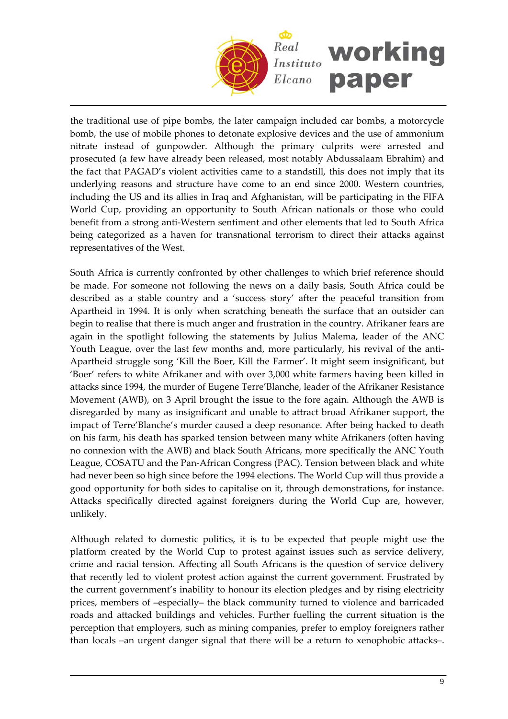

the traditional use of pipe bombs, the later campaign included car bombs, a motorcycle bomb, the use of mobile phones to detonate explosive devices and the use of ammonium nitrate instead of gunpowder. Although the primary culprits were arrested and prosecuted (a few have already been released, most notably Abdussalaam Ebrahim) and the fact that PAGAD's violent activities came to a standstill, this does not imply that its underlying reasons and structure have come to an end since 2000. Western countries, including the US and its allies in Iraq and Afghanistan, will be participating in the FIFA World Cup, providing an opportunity to South African nationals or those who could benefit from a strong anti‐Western sentiment and other elements that led to South Africa being categorized as a haven for transnational terrorism to direct their attacks against representatives of the West.

South Africa is currently confronted by other challenges to which brief reference should be made. For someone not following the news on a daily basis, South Africa could be described as a stable country and a 'success story' after the peaceful transition from Apartheid in 1994. It is only when scratching beneath the surface that an outsider can begin to realise that there is much anger and frustration in the country. Afrikaner fears are again in the spotlight following the statements by Julius Malema, leader of the ANC Youth League, over the last few months and, more particularly, his revival of the anti-Apartheid struggle song 'Kill the Boer, Kill the Farmer'. It might seem insignificant, but 'Boer' refers to white Afrikaner and with over 3,000 white farmers having been killed in attacks since 1994, the murder of Eugene Terre'Blanche, leader of the Afrikaner Resistance Movement (AWB), on 3 April brought the issue to the fore again. Although the AWB is disregarded by many as insignificant and unable to attract broad Afrikaner support, the impact of Terre'Blanche's murder caused a deep resonance. After being hacked to death on his farm, his death has sparked tension between many white Afrikaners (often having no connexion with the AWB) and black South Africans, more specifically the ANC Youth League, COSATU and the Pan‐African Congress (PAC). Tension between black and white had never been so high since before the 1994 elections. The World Cup will thus provide a good opportunity for both sides to capitalise on it, through demonstrations, for instance. Attacks specifically directed against foreigners during the World Cup are, however, unlikely.

Although related to domestic politics, it is to be expected that people might use the platform created by the World Cup to protest against issues such as service delivery, crime and racial tension. Affecting all South Africans is the question of service delivery that recently led to violent protest action against the current government. Frustrated by the current government's inability to honour its election pledges and by rising electricity prices, members of –especially– the black community turned to violence and barricaded roads and attacked buildings and vehicles. Further fuelling the current situation is the perception that employers, such as mining companies, prefer to employ foreigners rather than locals –an urgent danger signal that there will be a return to xenophobic attacks–.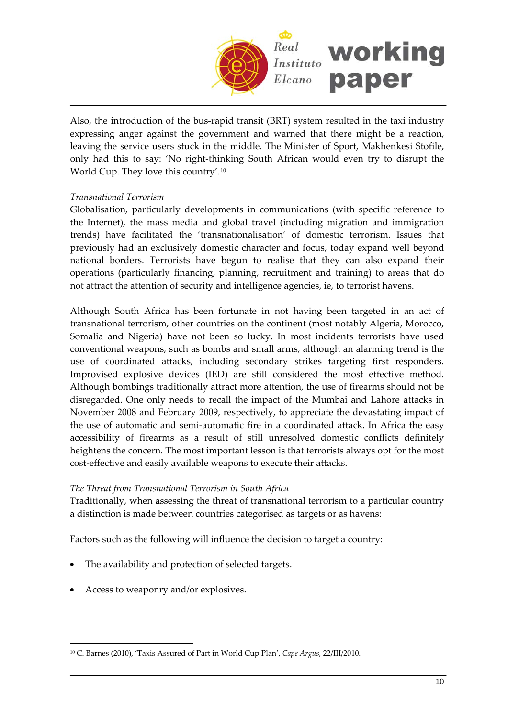

Also, the introduction of the bus‐rapid transit (BRT) system resulted in the taxi industry expressing anger against the government and warned that there might be a reaction, leaving the service users stuck in the middle. The Minister of Sport, Makhenkesi Stofile, only had this to say: 'No right‐thinking South African would even try to disrupt the World Cup. They love this country'.[10](#page-9-0)

## *Transnational Terrorism*

Globalisation, particularly developments in communications (with specific reference to the Internet), the mass media and global travel (including migration and immigration trends) have facilitated the 'transnationalisation' of domestic terrorism. Issues that previously had an exclusively domestic character and focus, today expand well beyond national borders. Terrorists have begun to realise that they can also expand their operations (particularly financing, planning, recruitment and training) to areas that do not attract the attention of security and intelligence agencies, ie, to terrorist havens.

Although South Africa has been fortunate in not having been targeted in an act of transnational terrorism, other countries on the continent (most notably Algeria, Morocco, Somalia and Nigeria) have not been so lucky. In most incidents terrorists have used conventional weapons, such as bombs and small arms, although an alarming trend is the use of coordinated attacks, including secondary strikes targeting first responders. Improvised explosive devices (IED) are still considered the most effective method. Although bombings traditionally attract more attention, the use of firearms should not be disregarded. One only needs to recall the impact of the Mumbai and Lahore attacks in November 2008 and February 2009, respectively, to appreciate the devastating impact of the use of automatic and semi‐automatic fire in a coordinated attack. In Africa the easy accessibility of firearms as a result of still unresolved domestic conflicts definitely heightens the concern. The most important lesson is that terrorists always opt for the most cost-effective and easily available weapons to execute their attacks.

#### *The Threat from Transnational Terrorism in South Africa*

Traditionally, when assessing the threat of transnational terrorism to a particular country a distinction is made between countries categorised as targets or as havens:

Factors such as the following will influence the decision to target a country:

- The availability and protection of selected targets.
- Access to weaponry and/or explosives.

<span id="page-9-0"></span><sup>10</sup> C. Barnes (2010), 'Taxis Assured of Part in World Cup Plan', *Cape Argus*, 22/III/2010.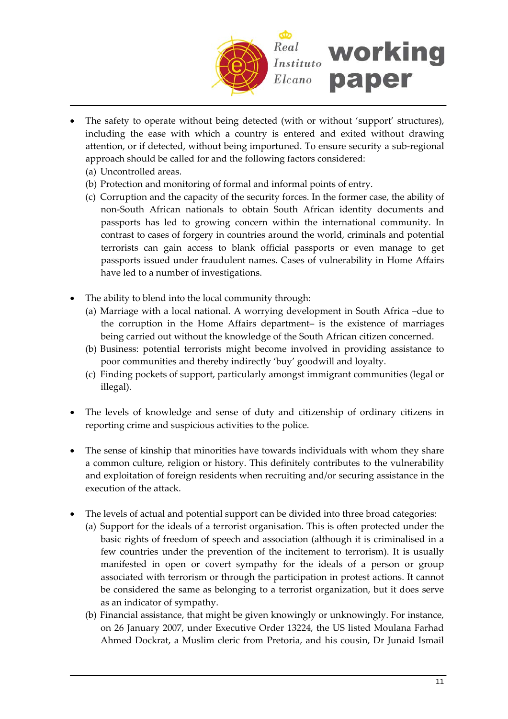

- The safety to operate without being detected (with or without 'support' structures), including the ease with which a country is entered and exited without drawing attention, or if detected, without being importuned. To ensure security a sub‐regional approach should be called for and the following factors considered:
	- (a) Uncontrolled areas.
	- (b) Protection and monitoring of formal and informal points of entry.
	- (c) Corruption and the capacity of the security forces. In the former case, the ability of non‐South African nationals to obtain South African identity documents and passports has led to growing concern within the international community. In contrast to cases of forgery in countries around the world, criminals and potential terrorists can gain access to blank official passports or even manage to get passports issued under fraudulent names. Cases of vulnerability in Home Affairs have led to a number of investigations.
- The ability to blend into the local community through:
	- (a) Marriage with a local national. A worrying development in South Africa –due to the corruption in the Home Affairs department– is the existence of marriages being carried out without the knowledge of the South African citizen concerned.
	- (b) Business: potential terrorists might become involved in providing assistance to poor communities and thereby indirectly 'buy' goodwill and loyalty.
	- (c) Finding pockets of support, particularly amongst immigrant communities (legal or illegal).
- The levels of knowledge and sense of duty and citizenship of ordinary citizens in reporting crime and suspicious activities to the police.
- The sense of kinship that minorities have towards individuals with whom they share a common culture, religion or history. This definitely contributes to the vulnerability and exploitation of foreign residents when recruiting and/or securing assistance in the execution of the attack.
- The levels of actual and potential support can be divided into three broad categories:
	- (a) Support for the ideals of a terrorist organisation. This is often protected under the basic rights of freedom of speech and association (although it is criminalised in a few countries under the prevention of the incitement to terrorism). It is usually manifested in open or covert sympathy for the ideals of a person or group associated with terrorism or through the participation in protest actions. It cannot be considered the same as belonging to a terrorist organization, but it does serve as an indicator of sympathy.
	- (b) Financial assistance, that might be given knowingly or unknowingly. For instance, on 26 January 2007, under Executive Order 13224, the US listed Moulana Farhad Ahmed Dockrat, a Muslim cleric from Pretoria, and his cousin, Dr Junaid Ismail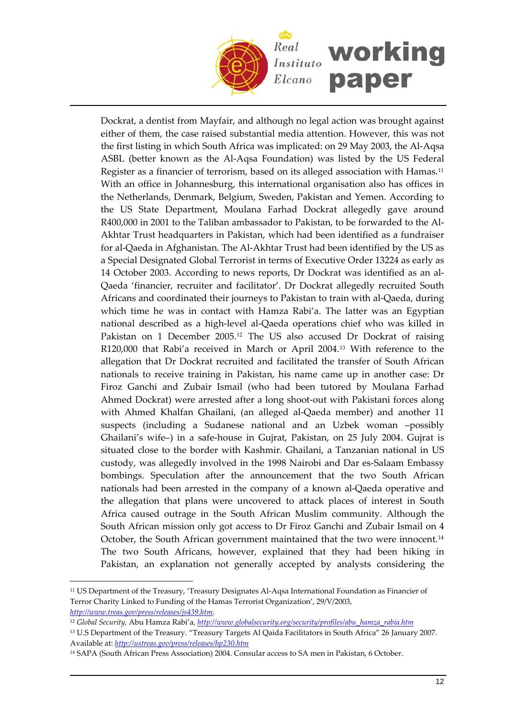

Dockrat, a dentist from Mayfair, and although no legal action was brought against either of them, the case raised substantial media attention. However, this was not the first listing in which South Africa was implicated: on 29 May 2003, the Al‐Aqsa ASBL (better known as the Al‐Aqsa Foundation) was listed by the US Federal Register as a financier of terrorism, based on its alleged association with Hamas.11 With an office in Johannesburg, this international organisation also has offices in the Netherlands, Denmark, Belgium, Sweden, Pakistan and Yemen. According to the US State Department, Moulana Farhad Dockrat allegedly gave around R400,000 in 2001 to the Taliban ambassador to Pakistan, to be forwarded to the Al‐ Akhtar Trust headquarters in Pakistan, which had been identified as a fundraiser for al‐Qaeda in Afghanistan. The Al‐Akhtar Trust had been identified by the US as a Special Designated Global Terrorist in terms of Executive Order 13224 as early as 14 October 2003. According to news reports, Dr Dockrat was identified as an al‐ Qaeda 'financier, recruiter and facilitator'. Dr Dockrat allegedly recruited South Africans and coordinated their journeys to Pakistan to train with al‐Qaeda, during which time he was in contact with Hamza Rabi'a. The latter was an Egyptian national described as a high‐level al‐Qaeda operations chief who was killed in Pakistan on 1 December 2005.<sup>12</sup> The US also accused Dr Dockrat of raising R120,000 that Rabi'a received in March or April 2004.13 With reference to the allegation that Dr Dockrat recruited and facilitated the transfer of South African nationals to receive training in Pakistan, his name came up in another case: Dr Firoz Ganchi and Zubair Ismail (who had been tutored by Moulana Farhad Ahmed Dockrat) were arrested after a long shoot‐out with Pakistani forces along with Ahmed Khalfan Ghailani, (an alleged al‐Qaeda member) and another 11 suspects (including a Sudanese national and an Uzbek woman –possibly Ghailani's wife–) in a safe‐house in Gujrat, Pakistan, on 25 July 2004. Gujrat is situated close to the border with Kashmir. Ghailani, a Tanzanian national in US custody, was allegedly involved in the 1998 Nairobi and Dar es‐Salaam Embassy bombings. Speculation after the announcement that the two South African nationals had been arrested in the company of a known al‐Qaeda operative and the allegation that plans were uncovered to attack places of interest in South Africa caused outrage in the South African Muslim community. Although the South African mission only got access to Dr Firoz Ganchi and Zubair Ismail on 4 October, the South African government maintained that the two were innocent.14 The two South Africans, however, explained that they had been hiking in Pakistan, an explanation not generally accepted by analysts considering the

<sup>11</sup> US Department of the Treasury, 'Treasury Designates Al‐Aqsa International Foundation as Financier of Terror Charity Linked to Funding of the Hamas Terrorist Organization', 29/V/2003, *<http://www.treas.gov/press/releases/js439.htm>*.

<sup>12</sup> *Global Security,* Abu Hamza Rabi'a, *[http://www.globalsecurity.org/security/profiles/abu\\_hamza\\_rabia.htm](http://www.globalsecurity.org/security/profiles/abu_hamza_rabia.htm)*

<sup>13</sup> U.S Department of the Treasury. "Treasury Targets Al Qaida Facilitators in South Africa" 26 January 2007. Available at: *<http://ustreas.gov/press/releases/hp230.htm>*

<sup>&</sup>lt;sup>14</sup> SAPA (South African Press Association) 2004. Consular access to SA men in Pakistan, 6 October.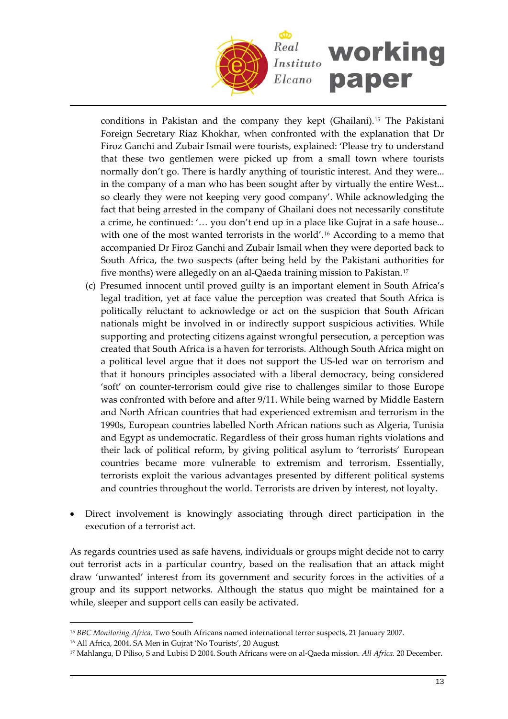

conditions in Pakistan and the company they kept (Ghailani).15 The Pakistani Foreign Secretary Riaz Khokhar, when confronted with the explanation that Dr Firoz Ganchi and Zubair Ismail were tourists, explained: 'Please try to understand that these two gentlemen were picked up from a small town where tourists normally don't go. There is hardly anything of touristic interest. And they were... in the company of a man who has been sought after by virtually the entire West... so clearly they were not keeping very good company'. While acknowledging the fact that being arrested in the company of Ghailani does not necessarily constitute a crime, he continued: '… you don't end up in a place like Gujrat in a safe house... with one of the most wanted terrorists in the world'.<sup>16</sup> According to a memo that accompanied Dr Firoz Ganchi and Zubair Ismail when they were deported back to South Africa, the two suspects (after being held by the Pakistani authorities for five months) were allegedly on an al-Qaeda training mission to Pakistan.<sup>17</sup>

- (c) Presumed innocent until proved guilty is an important element in South Africa's legal tradition, yet at face value the perception was created that South Africa is politically reluctant to acknowledge or act on the suspicion that South African nationals might be involved in or indirectly support suspicious activities. While supporting and protecting citizens against wrongful persecution, a perception was created that South Africa is a haven for terrorists. Although South Africa might on a political level argue that it does not support the US‐led war on terrorism and that it honours principles associated with a liberal democracy, being considered 'soft' on counter‐terrorism could give rise to challenges similar to those Europe was confronted with before and after 9/11. While being warned by Middle Eastern and North African countries that had experienced extremism and terrorism in the 1990s, European countries labelled North African nations such as Algeria, Tunisia and Egypt as undemocratic. Regardless of their gross human rights violations and their lack of political reform, by giving political asylum to 'terrorists' European countries became more vulnerable to extremism and terrorism. Essentially, terrorists exploit the various advantages presented by different political systems and countries throughout the world. Terrorists are driven by interest, not loyalty.
- Direct involvement is knowingly associating through direct participation in the execution of a terrorist act.

As regards countries used as safe havens, individuals or groups might decide not to carry out terrorist acts in a particular country, based on the realisation that an attack might draw 'unwanted' interest from its government and security forces in the activities of a group and its support networks. Although the status quo might be maintained for a while, sleeper and support cells can easily be activated.

<sup>15</sup> *BBC Monitoring Africa,* Two South Africans named international terror suspects, 21 January 2007.

<sup>16</sup> All Africa, 2004. SA Men in Gujrat 'No Tourists', 20 August.

<sup>17</sup> Mahlangu, D Piliso, S and Lubisi D 2004. South Africans were on al‐Qaeda mission. *All Africa.* 20 December.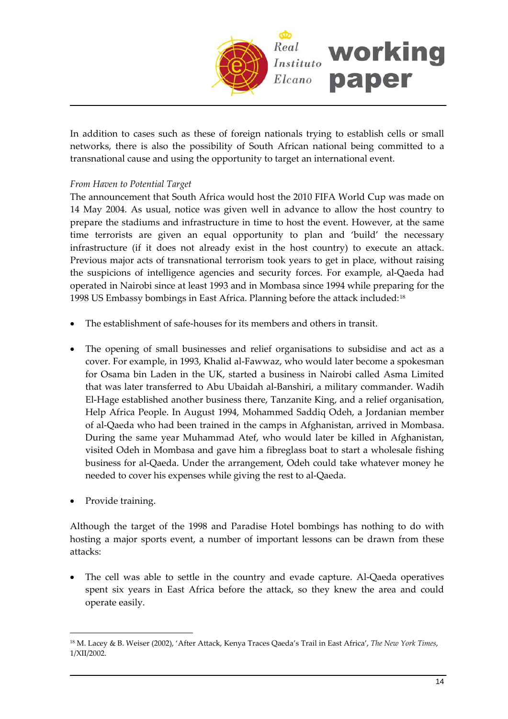

In addition to cases such as these of foreign nationals trying to establish cells or small networks, there is also the possibility of South African national being committed to a transnational cause and using the opportunity to target an international event.

## *From Haven to Potential Target*

The announcement that South Africa would host the 2010 FIFA World Cup was made on 14 May 2004. As usual, notice was given well in advance to allow the host country to prepare the stadiums and infrastructure in time to host the event. However, at the same time terrorists are given an equal opportunity to plan and 'build' the necessary infrastructure (if it does not already exist in the host country) to execute an attack. Previous major acts of transnational terrorism took years to get in place, without raising the suspicions of intelligence agencies and security forces. For example, al‐Qaeda had operated in Nairobi since at least 1993 and in Mombasa since 1994 while preparing for the 1998 US Embassy bombings in East Africa. Planning before the attack included:[18](#page-13-0)

- The establishment of safe‐houses for its members and others in transit.
- The opening of small businesses and relief organisations to subsidise and act as a cover. For example, in 1993, Khalid al‐Fawwaz, who would later become a spokesman for Osama bin Laden in the UK, started a business in Nairobi called Asma Limited that was later transferred to Abu Ubaidah al‐Banshiri, a military commander. Wadih El-Hage established another business there, Tanzanite King, and a relief organisation, Help Africa People. In August 1994, Mohammed Saddiq Odeh, a Jordanian member of al‐Qaeda who had been trained in the camps in Afghanistan, arrived in Mombasa. During the same year Muhammad Atef, who would later be killed in Afghanistan, visited Odeh in Mombasa and gave him a fibreglass boat to start a wholesale fishing business for al‐Qaeda. Under the arrangement, Odeh could take whatever money he needed to cover his expenses while giving the rest to al‐Qaeda.
- Provide training.

 $\overline{a}$ 

Although the target of the 1998 and Paradise Hotel bombings has nothing to do with hosting a major sports event, a number of important lessons can be drawn from these attacks:

• The cell was able to settle in the country and evade capture. Al‐Qaeda operatives spent six years in East Africa before the attack, so they knew the area and could operate easily.

<span id="page-13-0"></span><sup>18</sup> M. Lacey & B. Weiser (2002), 'After Attack, Kenya Traces Qaeda's Trail in East Africa', *The New York Times*, 1/XII/2002.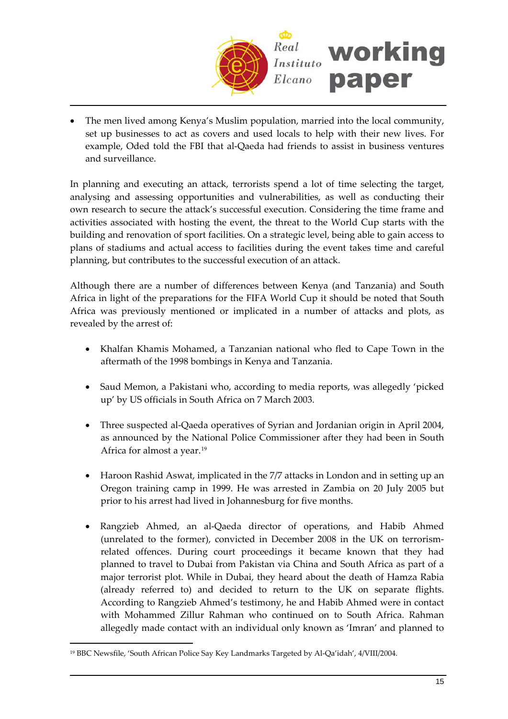

• The men lived among Kenya's Muslim population, married into the local community, set up businesses to act as covers and used locals to help with their new lives. For example, Oded told the FBI that al-Qaeda had friends to assist in business ventures and surveillance.

In planning and executing an attack, terrorists spend a lot of time selecting the target, analysing and assessing opportunities and vulnerabilities, as well as conducting their own research to secure the attack's successful execution. Considering the time frame and activities associated with hosting the event, the threat to the World Cup starts with the building and renovation of sport facilities. On a strategic level, being able to gain access to plans of stadiums and actual access to facilities during the event takes time and careful planning, but contributes to the successful execution of an attack.

Although there are a number of differences between Kenya (and Tanzania) and South Africa in light of the preparations for the FIFA World Cup it should be noted that South Africa was previously mentioned or implicated in a number of attacks and plots, as revealed by the arrest of:

- Khalfan Khamis Mohamed, a Tanzanian national who fled to Cape Town in the aftermath of the 1998 bombings in Kenya and Tanzania.
- Saud Memon, a Pakistani who, according to media reports, was allegedly 'picked up' by US officials in South Africa on 7 March 2003.
- Three suspected al‐Qaeda operatives of Syrian and Jordanian origin in April 2004, as announced by the National Police Commissioner after they had been in South Africa for almost a year.<sup>[19](#page-14-0)</sup>
- Haroon Rashid Aswat, implicated in the 7/7 attacks in London and in setting up an Oregon training camp in 1999. He was arrested in Zambia on 20 July 2005 but prior to his arrest had lived in Johannesburg for five months.
- Rangzieb Ahmed, an al‐Qaeda director of operations, and Habib Ahmed (unrelated to the former), convicted in December 2008 in the UK on terrorism‐ related offences. During court proceedings it became known that they had planned to travel to Dubai from Pakistan via China and South Africa as part of a major terrorist plot. While in Dubai, they heard about the death of Hamza Rabia (already referred to) and decided to return to the UK on separate flights. According to Rangzieb Ahmed's testimony, he and Habib Ahmed were in contact with Mohammed Zillur Rahman who continued on to South Africa. Rahman allegedly made contact with an individual only known as 'Imran' and planned to

<span id="page-14-0"></span><sup>&</sup>lt;sup>19</sup> BBC Newsfile, 'South African Police Say Key Landmarks Targeted by Al-Qa'idah', 4/VIII/2004.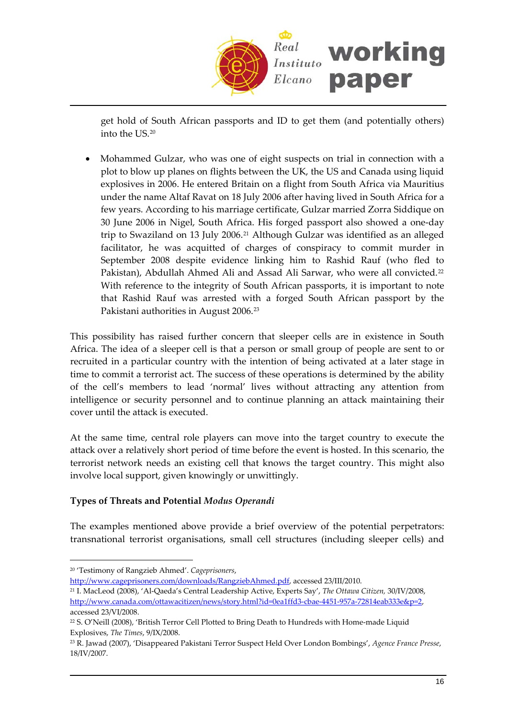

get hold of South African passports and ID to get them (and potentially others) into the US.20

• Mohammed Gulzar, who was one of eight suspects on trial in connection with a plot to blow up planes on flights between the UK, the US and Canada using liquid explosives in 2006. He entered Britain on a flight from South Africa via Mauritius under the name Altaf Ravat on 18 July 2006 after having lived in South Africa for a few years. According to his marriage certificate, Gulzar married Zorra Siddique on 30 June 2006 in Nigel, South Africa. His forged passport also showed a one‐day trip to Swaziland on 13 July 2006.<sup>[21](#page-15-0)</sup> Although Gulzar was identified as an alleged facilitator, he was acquitted of charges of conspiracy to commit murder in September 2008 despite evidence linking him to Rashid Rauf (who fled to Pakistan), Abdullah Ahmed Ali and Assad Ali Sarwar, who were all convicted.<sup>[22](#page-15-1)</sup> With reference to the integrity of South African passports, it is important to note that Rashid Rauf was arrested with a forged South African passport by the Pakistani authorities in August 2006.[23](#page-15-2)

This possibility has raised further concern that sleeper cells are in existence in South Africa. The idea of a sleeper cell is that a person or small group of people are sent to or recruited in a particular country with the intention of being activated at a later stage in time to commit a terrorist act. The success of these operations is determined by the ability of the cell's members to lead 'normal' lives without attracting any attention from intelligence or security personnel and to continue planning an attack maintaining their cover until the attack is executed.

At the same time, central role players can move into the target country to execute the attack over a relatively short period of time before the event is hosted. In this scenario, the terrorist network needs an existing cell that knows the target country. This might also involve local support, given knowingly or unwittingly.

## **Types of Threats and Potential** *Modus Operandi*

The examples mentioned above provide a brief overview of the potential perpetrators: transnational terrorist organisations, small cell structures (including sleeper cells) and

 $\overline{a}$ 

<http://www.cageprisoners.com/downloads/RangziebAhmed.pdf>, accessed 23/III/2010.

<span id="page-15-0"></span><sup>21</sup> I. MacLeod (2008), 'Al‐Qaeda's Central Leadership Active, Experts Say', *The Ottawa Citizen,* 30/IV/2008, [http://www.canada.com/ottawacitizen/news/story.html?id=0ea1ffd3](http://www.canada.com/ottawacitizen/news/story.html?id=0ea1ffd3-cbae-4451-957a-72814eab333e&p=2)‐cbae‐4451‐957a‐72814eab333e&p=2, accessed 23/VI/2008.

<sup>20</sup> 'Testimony of Rangzieb Ahmed'. *Cageprisoners*,

<span id="page-15-1"></span><sup>&</sup>lt;sup>22</sup> S. O'Neill (2008), 'British Terror Cell Plotted to Bring Death to Hundreds with Home-made Liquid Explosives, *The Times*, 9/IX/2008.

<span id="page-15-2"></span><sup>23</sup> R. Jawad (2007), 'Disappeared Pakistani Terror Suspect Held Over London Bombings', *Agence France Presse*, 18/IV/2007.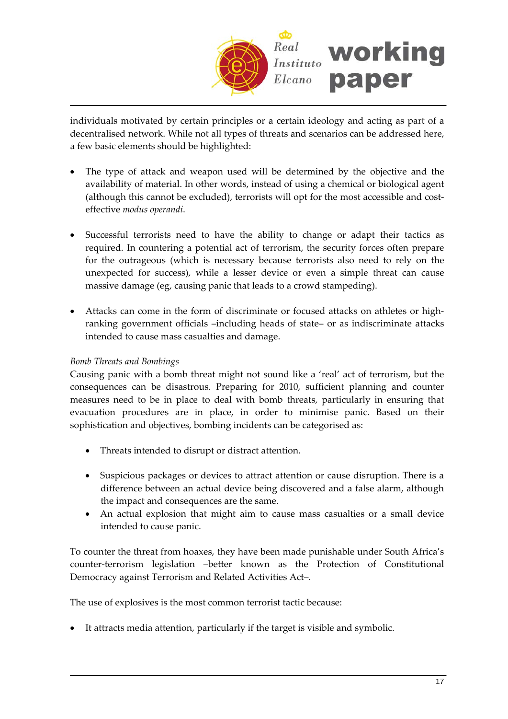

individuals motivated by certain principles or a certain ideology and acting as part of a decentralised network. While not all types of threats and scenarios can be addressed here, a few basic elements should be highlighted:

- The type of attack and weapon used will be determined by the objective and the availability of material. In other words, instead of using a chemical or biological agent (although this cannot be excluded), terrorists will opt for the most accessible and cost‐ effective *modus operandi*.
- Successful terrorists need to have the ability to change or adapt their tactics as required. In countering a potential act of terrorism, the security forces often prepare for the outrageous (which is necessary because terrorists also need to rely on the unexpected for success), while a lesser device or even a simple threat can cause massive damage (eg, causing panic that leads to a crowd stampeding).
- Attacks can come in the form of discriminate or focused attacks on athletes or highranking government officials –including heads of state– or as indiscriminate attacks intended to cause mass casualties and damage.

## *Bomb Threats and Bombings*

Causing panic with a bomb threat might not sound like a 'real' act of terrorism, but the consequences can be disastrous. Preparing for 2010, sufficient planning and counter measures need to be in place to deal with bomb threats, particularly in ensuring that evacuation procedures are in place, in order to minimise panic. Based on their sophistication and objectives, bombing incidents can be categorised as:

- Threats intended to disrupt or distract attention.
- Suspicious packages or devices to attract attention or cause disruption. There is a difference between an actual device being discovered and a false alarm, although the impact and consequences are the same.
- An actual explosion that might aim to cause mass casualties or a small device intended to cause panic.

To counter the threat from hoaxes, they have been made punishable under South Africa's counter-terrorism legislation –better known as the Protection of Constitutional Democracy against Terrorism and Related Activities Act–.

The use of explosives is the most common terrorist tactic because:

• It attracts media attention, particularly if the target is visible and symbolic.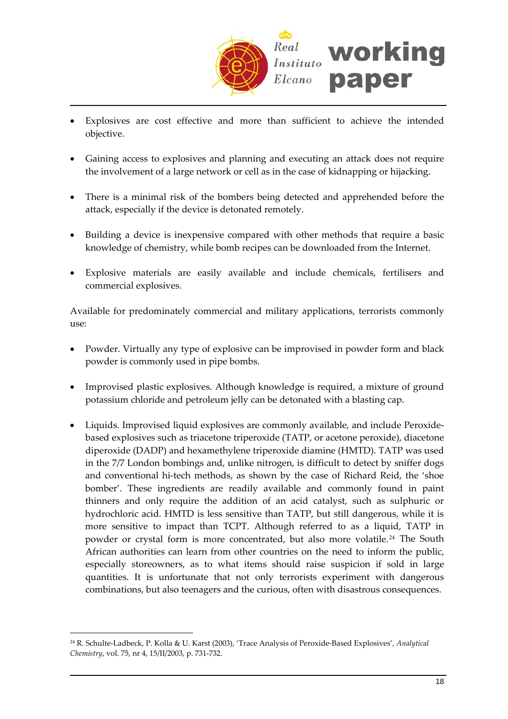

- Explosives are cost effective and more than sufficient to achieve the intended objective.
- Gaining access to explosives and planning and executing an attack does not require the involvement of a large network or cell as in the case of kidnapping or hijacking.
- There is a minimal risk of the bombers being detected and apprehended before the attack, especially if the device is detonated remotely.
- Building a device is inexpensive compared with other methods that require a basic knowledge of chemistry, while bomb recipes can be downloaded from the Internet.
- Explosive materials are easily available and include chemicals, fertilisers and commercial explosives.

Available for predominately commercial and military applications, terrorists commonly use:

- Powder. Virtually any type of explosive can be improvised in powder form and black powder is commonly used in pipe bombs.
- Improvised plastic explosives. Although knowledge is required, a mixture of ground potassium chloride and petroleum jelly can be detonated with a blasting cap.
- Liquids. Improvised liquid explosives are commonly available, and include Peroxidebased explosives such as triacetone triperoxide (TATP, or acetone peroxide), diacetone diperoxide (DADP) and hexamethylene triperoxide diamine (HMTD). TATP was used in the 7/7 London bombings and, unlike nitrogen, is difficult to detect by sniffer dogs and conventional hi-tech methods, as shown by the case of Richard Reid, the 'shoe bomber'. These ingredients are readily available and commonly found in paint thinners and only require the addition of an acid catalyst, such as sulphuric or hydrochloric acid. HMTD is less sensitive than TATP, but still dangerous, while it is more sensitive to impact than TCPT. Although referred to as a liquid, TATP in powder or crystal form is more concentrated, but also more volatile. [24](#page-17-0) The South African authorities can learn from other countries on the need to inform the public, especially storeowners, as to what items should raise suspicion if sold in large quantities. It is unfortunate that not only terrorists experiment with dangerous combinations, but also teenagers and the curious, often with disastrous consequences.

<span id="page-17-0"></span><sup>24</sup> R. Schulte‐Ladbeck, P. Kolla & U. Karst (2003), 'Trace Analysis of Peroxide‐Based Explosives', *Analytical Chemistry*, vol. 75, nr 4, 15/II/2003, p. 731‐732.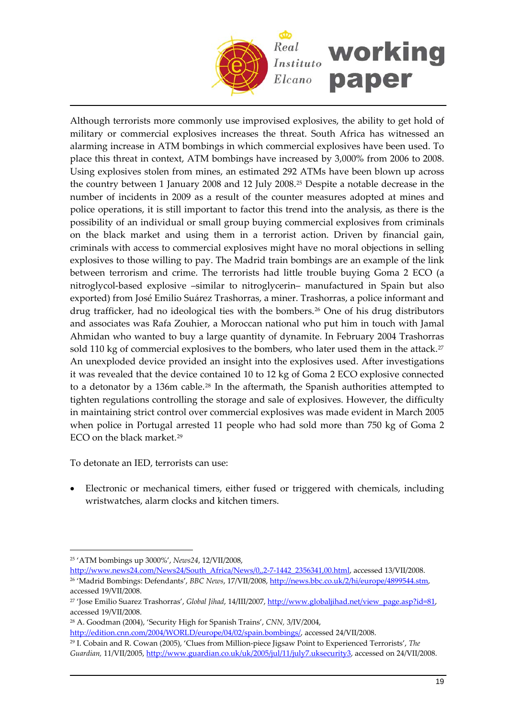

Although terrorists more commonly use improvised explosives, the ability to get hold of military or commercial explosives increases the threat. South Africa has witnessed an alarming increase in ATM bombings in which commercial explosives have been used. To place this threat in context, ATM bombings have increased by 3,000% from 2006 to 2008. Using explosives stolen from mines, an estimated 292 ATMs have been blown up across the country between 1 January 2008 and 12 July 2008.[25](#page-18-0) Despite a notable decrease in the number of incidents in 2009 as a result of the counter measures adopted at mines and police operations, it is still important to factor this trend into the analysis, as there is the possibility of an individual or small group buying commercial explosives from criminals on the black market and using them in a terrorist action. Driven by financial gain, criminals with access to commercial explosives might have no moral objections in selling explosives to those willing to pay. The Madrid train bombings are an example of the link between terrorism and crime. The terrorists had little trouble buying Goma 2 ECO (a nitroglycol‐based explosive –similar to nitroglycerin– manufactured in Spain but also exported) from José Emilio Suárez Trashorras, a miner. Trashorras, a police informant and drug trafficker, had no ideological ties with the bombers.<sup>[26](#page-18-1)</sup> One of his drug distributors and associates was Rafa Zouhier, a Moroccan national who put him in touch with Jamal Ahmidan who wanted to buy a large quantity of dynamite. In February 2004 Trashorras sold 110 kg of commercial explosives to the bombers, who later used them in the attack.<sup>[27](#page-18-2)</sup> An unexploded device provided an insight into the explosives used. After investigations it was revealed that the device contained 10 to 12 kg of Goma 2 ECO explosive connected to a detonator by a 136m cable.[28](#page-18-3) In the aftermath, the Spanish authorities attempted to tighten regulations controlling the storage and sale of explosives. However, the difficulty in maintaining strict control over commercial explosives was made evident in March 2005 when police in Portugal arrested 11 people who had sold more than 750 kg of Goma 2 ECO on the black market.[29](#page-18-4)

To detonate an IED, terrorists can use:

• Electronic or mechanical timers, either fused or triggered with chemicals, including wristwatches, alarm clocks and kitchen timers.

 $\overline{a}$ 

<span id="page-18-3"></span><sup>28</sup> A. Goodman (2004), 'Security High for Spanish Trains', *CNN,* 3/IV/2004, [http://edition.cnn.com/2004/WORLD/europe/04/02/spain.bombings/,](http://edition.cnn.com/2004/WORLD/europe/04/02/spain.bombings/) accessed 24/VII/2008.

<span id="page-18-0"></span><sup>25</sup> 'ATM bombings up 3000%', *News24*, 12/VII/2008,

<span id="page-18-1"></span>[http://www.news24.com/News24/South\\_Africa/News/0,,2](http://www.news24.com/News24/South_Africa/News/0,,2-7-1442_2356341,00.html)‐7‐1442\_2356341,00.html, accessed 13/VII/2008. <sup>26</sup> 'Madrid Bombings: Defendants', *BBC News*, 17/VII/2008, <http://news.bbc.co.uk/2/hi/europe/4899544.stm>, accessed 19/VII/2008.

<span id="page-18-2"></span><sup>&</sup>lt;sup>27</sup> 'Jose Emilio Suarez Trashorras', *Global Jihad*, 14/III/2007, [http://www.globaljihad.net/view\\_page.asp?id=81,](http://www.globaljihad.net/view_page.asp?id=81) accessed 19/VII/2008.

<span id="page-18-4"></span><sup>29</sup> I. Cobain and R. Cowan (2005), 'Clues from Million‐piece Jigsaw Point to Experienced Terrorists', *The Guardian,* 11/VII/2005, <http://www.guardian.co.uk/uk/2005/jul/11/july7.uksecurity3>, accessed on 24/VII/2008.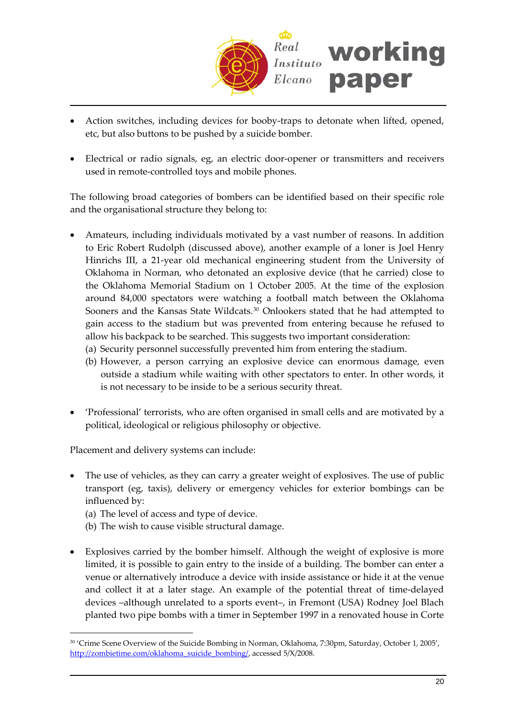

- Action switches, including devices for booby‐traps to detonate when lifted, opened, etc, but also buttons to be pushed by a suicide bomber.
- Electrical or radio signals, eg, an electric door-opener or transmitters and receivers used in remote‐controlled toys and mobile phones.

The following broad categories of bombers can be identified based on their specific role and the organisational structure they belong to:

- Amateurs, including individuals motivated by a vast number of reasons. In addition to Eric Robert Rudolph (discussed above), another example of a loner is Joel Henry Hinrichs III, a 21‐year old mechanical engineering student from the University of Oklahoma in Norman, who detonated an explosive device (that he carried) close to the Oklahoma Memorial Stadium on 1 October 2005. At the time of the explosion around 84,000 spectators were watching a football match between the Oklahoma Sooners and the Kansas State Wildcats.<sup>[30](#page-19-0)</sup> Onlookers stated that he had attempted to gain access to the stadium but was prevented from entering because he refused to allow his backpack to be searched. This suggests two important consideration:
	- (a) Security personnel successfully prevented him from entering the stadium.
	- (b) However, a person carrying an explosive device can enormous damage, even outside a stadium while waiting with other spectators to enter. In other words, it is not necessary to be inside to be a serious security threat.
- 'Professional' terrorists, who are often organised in small cells and are motivated by a political, ideological or religious philosophy or objective.

Placement and delivery systems can include:

- The use of vehicles, as they can carry a greater weight of explosives. The use of public transport (eg, taxis), delivery or emergency vehicles for exterior bombings can be influenced by:
	- (a) The level of access and type of device.

- (b) The wish to cause visible structural damage.
- Explosives carried by the bomber himself. Although the weight of explosive is more limited, it is possible to gain entry to the inside of a building. The bomber can enter a venue or alternatively introduce a device with inside assistance or hide it at the venue and collect it at a later stage. An example of the potential threat of time-delayed devices –although unrelated to a sports event–, in Fremont (USA) Rodney Joel Blach planted two pipe bombs with a timer in September 1997 in a renovated house in Corte

<span id="page-19-0"></span><sup>&</sup>lt;sup>30</sup> 'Crime Scene Overview of the Suicide Bombing in Norman, Oklahoma, 7:30pm, Saturday, October 1, 2005', [http://zombietime.com/oklahoma\\_suicide\\_bombing/](http://zombietime.com/oklahoma_suicide_bombing/), accessed 5/X/2008.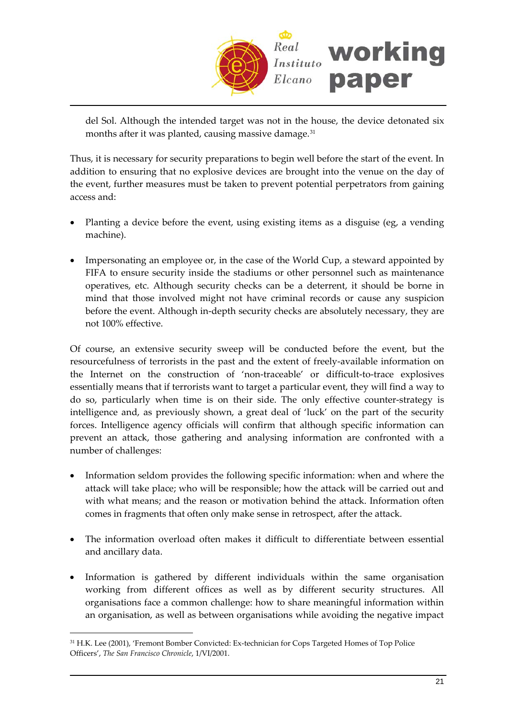

del Sol. Although the intended target was not in the house, the device detonated six months after it was planted, causing massive damage.<sup>31</sup>

Thus, it is necessary for security preparations to begin well before the start of the event. In addition to ensuring that no explosive devices are brought into the venue on the day of the event, further measures must be taken to prevent potential perpetrators from gaining access and:

- Planting a device before the event, using existing items as a disguise (eg, a vending machine).
- Impersonating an employee or, in the case of the World Cup, a steward appointed by FIFA to ensure security inside the stadiums or other personnel such as maintenance operatives, etc. Although security checks can be a deterrent, it should be borne in mind that those involved might not have criminal records or cause any suspicion before the event. Although in-depth security checks are absolutely necessary, they are not 100% effective.

Of course, an extensive security sweep will be conducted before the event, but the resourcefulness of terrorists in the past and the extent of freely‐available information on the Internet on the construction of 'non‐traceable' or difficult‐to‐trace explosives essentially means that if terrorists want to target a particular event, they will find a way to do so, particularly when time is on their side. The only effective counter‐strategy is intelligence and, as previously shown, a great deal of 'luck' on the part of the security forces. Intelligence agency officials will confirm that although specific information can prevent an attack, those gathering and analysing information are confronted with a number of challenges:

- Information seldom provides the following specific information: when and where the attack will take place; who will be responsible; how the attack will be carried out and with what means; and the reason or motivation behind the attack. Information often comes in fragments that often only make sense in retrospect, after the attack.
- The information overload often makes it difficult to differentiate between essential and ancillary data.
- Information is gathered by different individuals within the same organisation working from different offices as well as by different security structures. All organisations face a common challenge: how to share meaningful information within an organisation, as well as between organisations while avoiding the negative impact

<sup>31</sup> H.K. Lee (2001), 'Fremont Bomber Convicted: Ex-technician for Cops Targeted Homes of Top Police Officers', *The San Francisco Chronicle*, 1/VI/2001.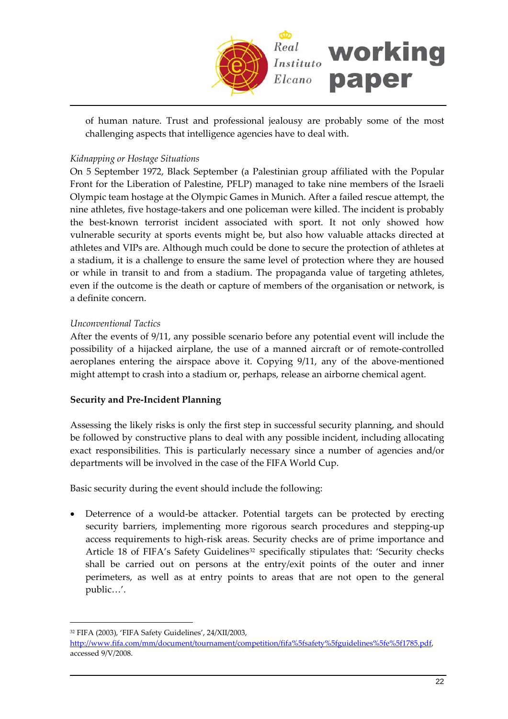

of human nature. Trust and professional jealousy are probably some of the most challenging aspects that intelligence agencies have to deal with.

## *Kidnapping or Hostage Situations*

On 5 September 1972, Black September (a Palestinian group affiliated with the Popular Front for the Liberation of Palestine, PFLP) managed to take nine members of the Israeli Olympic team hostage at the Olympic Games in Munich. After a failed rescue attempt, the nine athletes, five hostage‐takers and one policeman were killed. The incident is probably the best-known terrorist incident associated with sport. It not only showed how vulnerable security at sports events might be, but also how valuable attacks directed at athletes and VIPs are. Although much could be done to secure the protection of athletes at a stadium, it is a challenge to ensure the same level of protection where they are housed or while in transit to and from a stadium. The propaganda value of targeting athletes, even if the outcome is the death or capture of members of the organisation or network, is a definite concern.

#### *Unconventional Tactics*

After the events of 9/11, any possible scenario before any potential event will include the possibility of a hijacked airplane, the use of a manned aircraft or of remote‐controlled aeroplanes entering the airspace above it. Copying 9/11, any of the above-mentioned might attempt to crash into a stadium or, perhaps, release an airborne chemical agent.

#### **Security and Pre‐Incident Planning**

Assessing the likely risks is only the first step in successful security planning, and should be followed by constructive plans to deal with any possible incident, including allocating exact responsibilities. This is particularly necessary since a number of agencies and/or departments will be involved in the case of the FIFA World Cup.

Basic security during the event should include the following:

Deterrence of a would-be attacker. Potential targets can be protected by erecting security barriers, implementing more rigorous search procedures and stepping‐up access requirements to high‐risk areas. Security checks are of prime importance and Article 18 of FIFA's Safety Guidelines<sup>32</sup> specifically stipulates that: 'Security checks shall be carried out on persons at the entry/exit points of the outer and inner perimeters, as well as at entry points to areas that are not open to the general public…'.

<span id="page-21-0"></span><sup>32</sup> FIFA (2003), 'FIFA Safety Guidelines', 24/XII/2003,

[http://www.fifa.com/mm/document/tournament/competition/fifa%5fsafety%5fguidelines%5fe%5f1785.pdf,](http://www.fifa.com/mm/document/tournament/competition/fifa_safety_guidelines_e_1785.pdf) accessed 9/V/2008.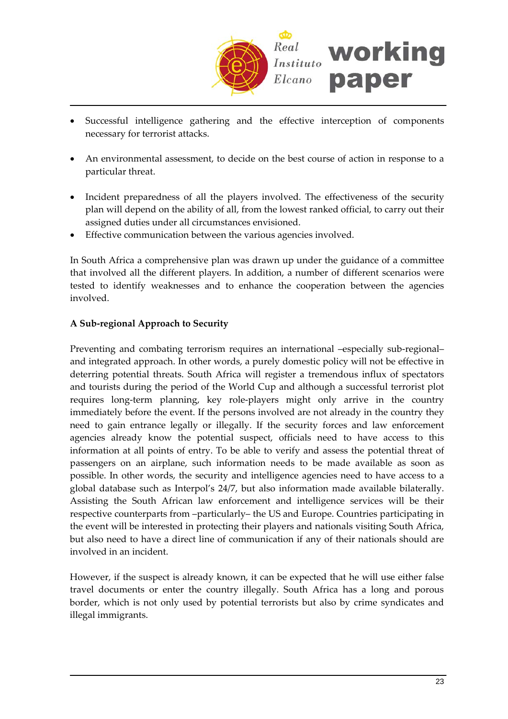

- Successful intelligence gathering and the effective interception of components necessary for terrorist attacks.
- An environmental assessment, to decide on the best course of action in response to a particular threat.
- Incident preparedness of all the players involved. The effectiveness of the security plan will depend on the ability of all, from the lowest ranked official, to carry out their assigned duties under all circumstances envisioned.
- Effective communication between the various agencies involved.

In South Africa a comprehensive plan was drawn up under the guidance of a committee that involved all the different players. In addition, a number of different scenarios were tested to identify weaknesses and to enhance the cooperation between the agencies involved.

#### **A Sub‐regional Approach to Security**

Preventing and combating terrorism requires an international –especially sub-regional– and integrated approach. In other words, a purely domestic policy will not be effective in deterring potential threats. South Africa will register a tremendous influx of spectators and tourists during the period of the World Cup and although a successful terrorist plot requires long-term planning, key role-players might only arrive in the country immediately before the event. If the persons involved are not already in the country they need to gain entrance legally or illegally. If the security forces and law enforcement agencies already know the potential suspect, officials need to have access to this information at all points of entry. To be able to verify and assess the potential threat of passengers on an airplane, such information needs to be made available as soon as possible. In other words, the security and intelligence agencies need to have access to a global database such as Interpol's 24/7, but also information made available bilaterally. Assisting the South African law enforcement and intelligence services will be their respective counterparts from –particularly– the US and Europe. Countries participating in the event will be interested in protecting their players and nationals visiting South Africa, but also need to have a direct line of communication if any of their nationals should are involved in an incident.

However, if the suspect is already known, it can be expected that he will use either false travel documents or enter the country illegally. South Africa has a long and porous border, which is not only used by potential terrorists but also by crime syndicates and illegal immigrants.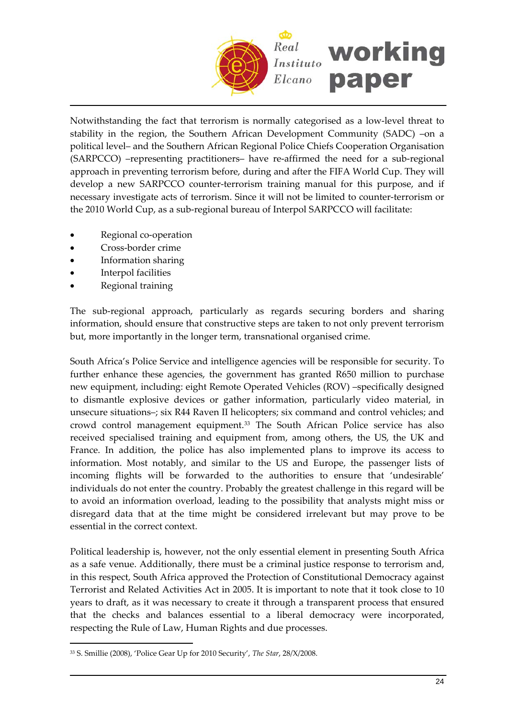

Notwithstanding the fact that terrorism is normally categorised as a low‐level threat to stability in the region, the Southern African Development Community (SADC) –on a political level– and the Southern African Regional Police Chiefs Cooperation Organisation (SARPCCO) –representing practitioners– have re‐affirmed the need for a sub‐regional approach in preventing terrorism before, during and after the FIFA World Cup. They will develop a new SARPCCO counter‐terrorism training manual for this purpose, and if necessary investigate acts of terrorism. Since it will not be limited to counter‐terrorism or the 2010 World Cup, as a sub‐regional bureau of Interpol SARPCCO will facilitate:

- Regional co-operation
- Cross‐border crime
- Information sharing
- Interpol facilities
- Regional training

 $\overline{a}$ 

The sub-regional approach, particularly as regards securing borders and sharing information, should ensure that constructive steps are taken to not only prevent terrorism but, more importantly in the longer term, transnational organised crime.

South Africa's Police Service and intelligence agencies will be responsible for security. To further enhance these agencies, the government has granted R650 million to purchase new equipment, including: eight Remote Operated Vehicles (ROV) –specifically designed to dismantle explosive devices or gather information, particularly video material, in unsecure situations–; six R44 Raven II helicopters; six command and control vehicles; and crowd control management equipment.[33](#page-23-0) The South African Police service has also received specialised training and equipment from, among others, the US, the UK and France. In addition, the police has also implemented plans to improve its access to information. Most notably, and similar to the US and Europe, the passenger lists of incoming flights will be forwarded to the authorities to ensure that 'undesirable' individuals do not enter the country. Probably the greatest challenge in this regard will be to avoid an information overload, leading to the possibility that analysts might miss or disregard data that at the time might be considered irrelevant but may prove to be essential in the correct context.

Political leadership is, however, not the only essential element in presenting South Africa as a safe venue. Additionally, there must be a criminal justice response to terrorism and, in this respect, South Africa approved the Protection of Constitutional Democracy against Terrorist and Related Activities Act in 2005. It is important to note that it took close to 10 years to draft, as it was necessary to create it through a transparent process that ensured that the checks and balances essential to a liberal democracy were incorporated, respecting the Rule of Law, Human Rights and due processes.

<span id="page-23-0"></span><sup>33</sup> S. Smillie (2008), 'Police Gear Up for 2010 Security', *The Star*, 28/X/2008.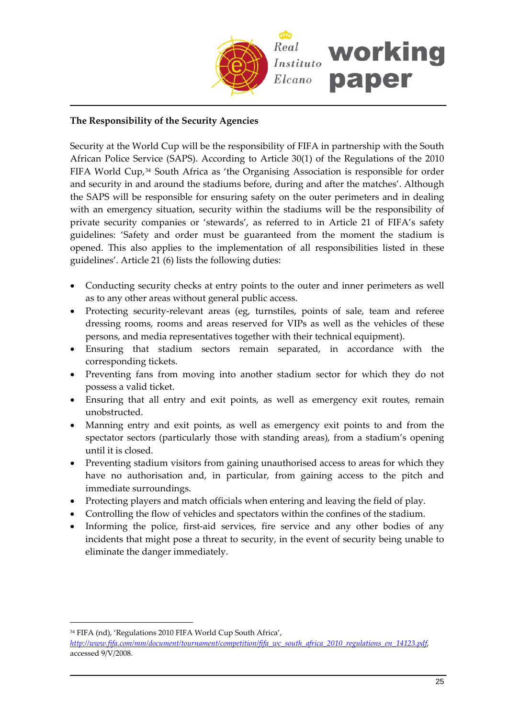

## **The Responsibility of the Security Agencies**

Security at the World Cup will be the responsibility of FIFA in partnership with the South African Police Service (SAPS). According to Article 30(1) of the Regulations of the 2010 FIFA World Cup,[34](#page-24-0) South Africa as 'the Organising Association is responsible for order and security in and around the stadiums before, during and after the matches'. Although the SAPS will be responsible for ensuring safety on the outer perimeters and in dealing with an emergency situation, security within the stadiums will be the responsibility of private security companies or 'stewards', as referred to in Article 21 of FIFA's safety guidelines: 'Safety and order must be guaranteed from the moment the stadium is opened. This also applies to the implementation of all responsibilities listed in these guidelines'. Article 21 (6) lists the following duties:

- Conducting security checks at entry points to the outer and inner perimeters as well as to any other areas without general public access.
- Protecting security‐relevant areas (eg, turnstiles, points of sale, team and referee dressing rooms, rooms and areas reserved for VIPs as well as the vehicles of these persons, and media representatives together with their technical equipment).
- Ensuring that stadium sectors remain separated, in accordance with the corresponding tickets.
- Preventing fans from moving into another stadium sector for which they do not possess a valid ticket.
- Ensuring that all entry and exit points, as well as emergency exit routes, remain unobstructed.
- Manning entry and exit points, as well as emergency exit points to and from the spectator sectors (particularly those with standing areas), from a stadium's opening until it is closed.
- Preventing stadium visitors from gaining unauthorised access to areas for which they have no authorisation and, in particular, from gaining access to the pitch and immediate surroundings.
- Protecting players and match officials when entering and leaving the field of play.
- Controlling the flow of vehicles and spectators within the confines of the stadium.
- Informing the police, first-aid services, fire service and any other bodies of any incidents that might pose a threat to security, in the event of security being unable to eliminate the danger immediately.

<span id="page-24-0"></span><sup>34</sup> FIFA (nd), 'Regulations 2010 FIFA World Cup South Africa',

*[http://www.fifa.com/mm/document/tournament/competition/fifa\\_wc\\_south\\_africa\\_2010\\_regulations\\_en\\_14123.pdf](http://www.fifa.com/mm/document/tournament/competition/fifa_wc_south_africa_2010_regulations_en_14123.pdf)*, accessed 9/V/2008.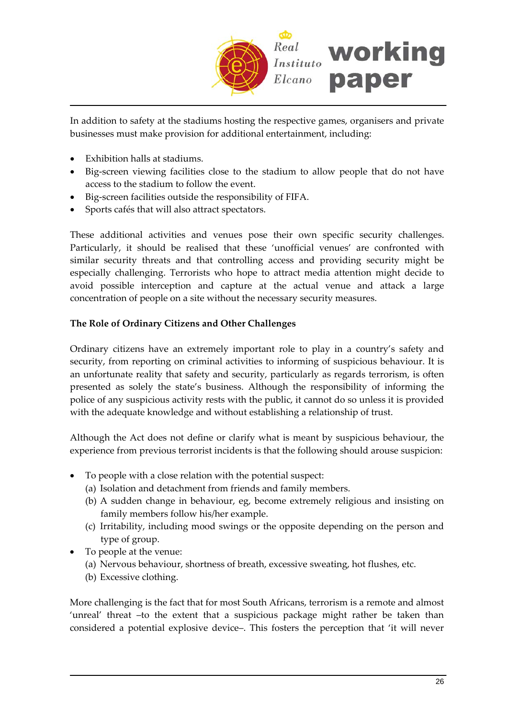

In addition to safety at the stadiums hosting the respective games, organisers and private businesses must make provision for additional entertainment, including:

- Exhibition halls at stadiums.
- Big-screen viewing facilities close to the stadium to allow people that do not have access to the stadium to follow the event.
- Big‐screen facilities outside the responsibility of FIFA.
- Sports cafés that will also attract spectators.

These additional activities and venues pose their own specific security challenges. Particularly, it should be realised that these 'unofficial venues' are confronted with similar security threats and that controlling access and providing security might be especially challenging. Terrorists who hope to attract media attention might decide to avoid possible interception and capture at the actual venue and attack a large concentration of people on a site without the necessary security measures.

## **The Role of Ordinary Citizens and Other Challenges**

Ordinary citizens have an extremely important role to play in a country's safety and security, from reporting on criminal activities to informing of suspicious behaviour. It is an unfortunate reality that safety and security, particularly as regards terrorism, is often presented as solely the state's business. Although the responsibility of informing the police of any suspicious activity rests with the public, it cannot do so unless it is provided with the adequate knowledge and without establishing a relationship of trust.

Although the Act does not define or clarify what is meant by suspicious behaviour, the experience from previous terrorist incidents is that the following should arouse suspicion:

- To people with a close relation with the potential suspect:
	- (a) Isolation and detachment from friends and family members.
	- (b) A sudden change in behaviour, eg, become extremely religious and insisting on family members follow his/her example.
	- (c) Irritability, including mood swings or the opposite depending on the person and type of group.
- To people at the venue:
	- (a) Nervous behaviour, shortness of breath, excessive sweating, hot flushes, etc.
	- (b) Excessive clothing.

More challenging is the fact that for most South Africans, terrorism is a remote and almost 'unreal' threat –to the extent that a suspicious package might rather be taken than considered a potential explosive device–. This fosters the perception that 'it will never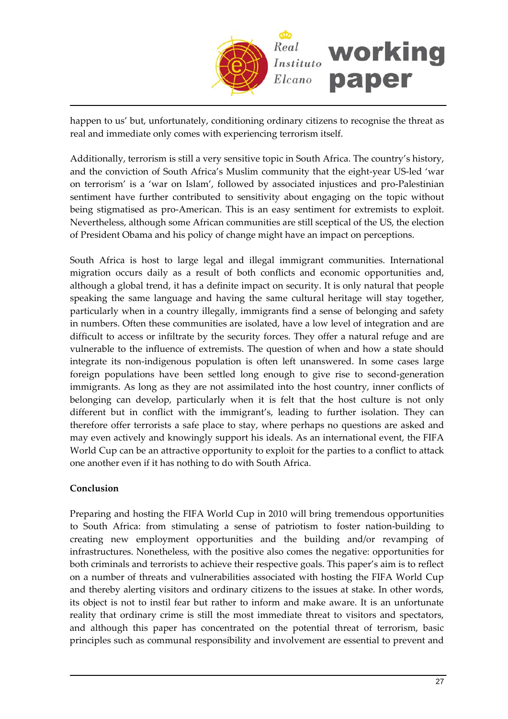

happen to us' but, unfortunately, conditioning ordinary citizens to recognise the threat as real and immediate only comes with experiencing terrorism itself.

Additionally, terrorism is still a very sensitive topic in South Africa. The country's history, and the conviction of South Africa's Muslim community that the eight-year US-led 'war on terrorism' is a 'war on Islam', followed by associated injustices and pro‐Palestinian sentiment have further contributed to sensitivity about engaging on the topic without being stigmatised as pro‐American. This is an easy sentiment for extremists to exploit. Nevertheless, although some African communities are still sceptical of the US, the election of President Obama and his policy of change might have an impact on perceptions.

South Africa is host to large legal and illegal immigrant communities. International migration occurs daily as a result of both conflicts and economic opportunities and, although a global trend, it has a definite impact on security. It is only natural that people speaking the same language and having the same cultural heritage will stay together, particularly when in a country illegally, immigrants find a sense of belonging and safety in numbers. Often these communities are isolated, have a low level of integration and are difficult to access or infiltrate by the security forces. They offer a natural refuge and are vulnerable to the influence of extremists. The question of when and how a state should integrate its non‐indigenous population is often left unanswered. In some cases large foreign populations have been settled long enough to give rise to second‐generation immigrants. As long as they are not assimilated into the host country, inner conflicts of belonging can develop, particularly when it is felt that the host culture is not only different but in conflict with the immigrant's, leading to further isolation. They can therefore offer terrorists a safe place to stay, where perhaps no questions are asked and may even actively and knowingly support his ideals. As an international event, the FIFA World Cup can be an attractive opportunity to exploit for the parties to a conflict to attack one another even if it has nothing to do with South Africa.

## **Conclusion**

Preparing and hosting the FIFA World Cup in 2010 will bring tremendous opportunities to South Africa: from stimulating a sense of patriotism to foster nation‐building to creating new employment opportunities and the building and/or revamping of infrastructures. Nonetheless, with the positive also comes the negative: opportunities for both criminals and terrorists to achieve their respective goals. This paper's aim is to reflect on a number of threats and vulnerabilities associated with hosting the FIFA World Cup and thereby alerting visitors and ordinary citizens to the issues at stake. In other words, its object is not to instil fear but rather to inform and make aware. It is an unfortunate reality that ordinary crime is still the most immediate threat to visitors and spectators, and although this paper has concentrated on the potential threat of terrorism, basic principles such as communal responsibility and involvement are essential to prevent and